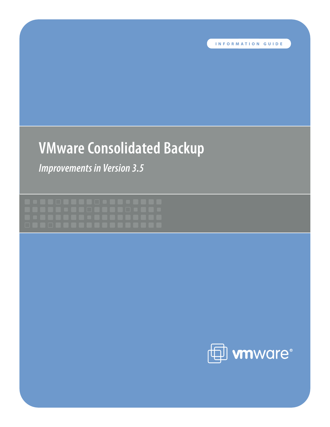# **VMware Consolidated Backup**

*Improvements in Version 3.5*

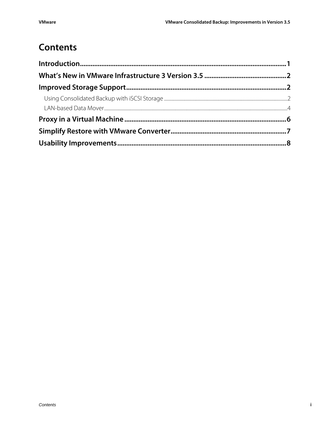# **Contents**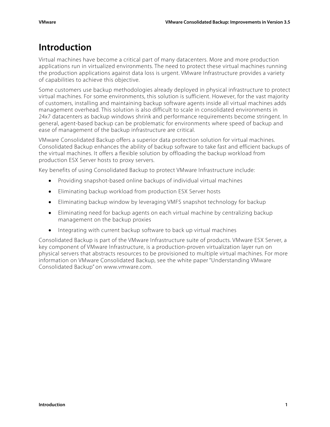# <span id="page-2-0"></span>**Introduction**

Virtual machines have become a critical part of many datacenters. More and more production applications run in virtualized environments. The need to protect these virtual machines running the production applications against data loss is urgent. VMware Infrastructure provides a variety of capabilities to achieve this objective.

Some customers use backup methodologies already deployed in physical infrastructure to protect virtual machines. For some environments, this solution is sufficient. However, for the vast majority of customers, installing and maintaining backup software agents inside all virtual machines adds management overhead. This solution is also difficult to scale in consolidated environments in 24x7 datacenters as backup windows shrink and performance requirements become stringent. In general, agent-based backup can be problematic for environments where speed of backup and ease of management of the backup infrastructure are critical.

VMware Consolidated Backup offers a superior data protection solution for virtual machines. Consolidated Backup enhances the ability of backup software to take fast and efficient backups of the virtual machines. It offers a flexible solution by offloading the backup workload from production ESX Server hosts to proxy servers.

Key benefits of using Consolidated Backup to protect VMware Infrastructure include:

- Providing snapshot-based online backups of individual virtual machines
- Eliminating backup workload from production ESX Server hosts
- Eliminating backup window by leveraging VMFS snapshot technology for backup
- Eliminating need for backup agents on each virtual machine by centralizing backup management on the backup proxies
- Integrating with current backup software to back up virtual machines

Consolidated Backup is part of the VMware Infrastructure suite of products. VMware ESX Server, a key component of VMware Infrastructure, is a production-proven virtualization layer run on physical servers that abstracts resources to be provisioned to multiple virtual machines. For more information on VMware Consolidated Backup, see the white paper "Understanding VMware Consolidated Backup" on www.vmware.com.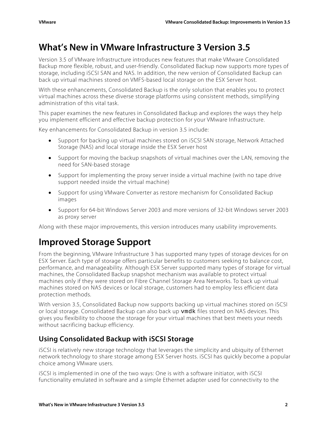# <span id="page-3-0"></span>**What's New in VMware Infrastructure 3 Version 3.5**

Version 3.5 of VMware Infrastructure introduces new features that make VMware Consolidated Backup more flexible, robust, and user-friendly. Consolidated Backup now supports more types of storage, including iSCSI SAN and NAS. In addition, the new version of Consolidated Backup can back up virtual machines stored on VMFS-based local storage on the ESX Server host.

With these enhancements, Consolidated Backup is the only solution that enables you to protect virtual machines across these diverse storage platforms using consistent methods, simplifying administration of this vital task.

This paper examines the new features in Consolidated Backup and explores the ways they help you implement efficient and effective backup protection for your VMware Infrastructure.

Key enhancements for Consolidated Backup in version 3.5 include:

- Support for backing up virtual machines stored on iSCSI SAN storage, Network Attached Storage (NAS) and local storage inside the ESX Server host
- Support for moving the backup snapshots of virtual machines over the LAN, removing the need for SAN-based storage
- Support for implementing the proxy server inside a virtual machine (with no tape drive support needed inside the virtual machine)
- Support for using VMware Converter as restore mechanism for Consolidated Backup images
- Support for 64-bit Windows Server 2003 and more versions of 32-bit Windows server 2003 as proxy server

Along with these major improvements, this version introduces many usability improvements.

# **Improved Storage Support**

From the beginning, VMware Infrastructure 3 has supported many types of storage devices for on ESX Server. Each type of storage offers particular benefits to customers seeking to balance cost, performance, and manageability. Although ESX Server supported many types of storage for virtual machines, the Consolidated Backup snapshot mechanism was available to protect virtual machines only if they were stored on Fibre Channel Storage Area Networks. To back up virtual machines stored on NAS devices or local storage, customers had to employ less efficient data protection methods.

With version 3.5, Consolidated Backup now supports backing up virtual machines stored on iSCSI or local storage. Consolidated Backup can also back up vmdk files stored on NAS devices. This gives you flexibility to choose the storage for your virtual machines that best meets your needs without sacrificing backup efficiency.

### **Using Consolidated Backup with iSCSI Storage**

iSCSI is relatively new storage technology that leverages the simplicity and ubiquity of Ethernet network technology to share storage among ESX Server hosts. iSCSI has quickly become a popular choice among VMware users.

iSCSI is implemented in one of the two ways: One is with a software initiator, with iSCSI functionality emulated in software and a simple Ethernet adapter used for connectivity to the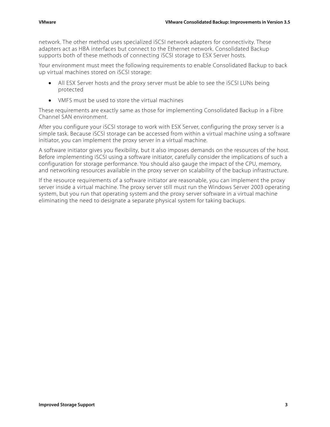network. The other method uses specialized iSCSI network adapters for connectivity. These adapters act as HBA interfaces but connect to the Ethernet network. Consolidated Backup supports both of these methods of connecting iSCSI storage to ESX Server hosts.

Your environment must meet the following requirements to enable Consolidated Backup to back up virtual machines stored on iSCSI storage:

- All ESX Server hosts and the proxy server must be able to see the iSCSI LUNs being protected
- VMFS must be used to store the virtual machines

These requirements are exactly same as those for implementing Consolidated Backup in a Fibre Channel SAN environment.

After you configure your iSCSI storage to work with ESX Server, configuring the proxy server is a simple task. Because iSCSI storage can be accessed from within a virtual machine using a software initiator, you can implement the proxy server in a virtual machine.

A software initiator gives you flexibility, but it also imposes demands on the resources of the host. Before implementing iSCSI using a software initiator, carefully consider the implications of such a configuration for storage performance. You should also gauge the impact of the CPU, memory, and networking resources available in the proxy server on scalability of the backup infrastructure.

If the resource requirements of a software initiator are reasonable, you can implement the proxy server inside a virtual machine. The proxy server still must run the Windows Server 2003 operating system, but you run that operating system and the proxy server software in a virtual machine eliminating the need to designate a separate physical system for taking backups.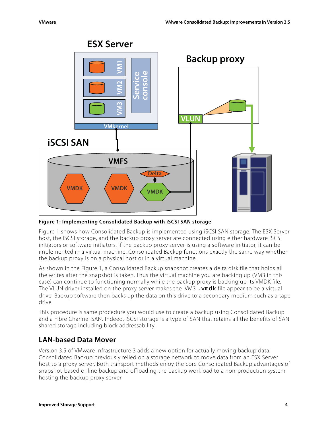<span id="page-5-0"></span>

### **ESX Server**

**Figure 1: Implementing Consolidated Backup with iSCSI SAN storage** 

Figure 1 shows how Consolidated Backup is implemented using iSCSI SAN storage. The ESX Server host, the iSCSI storage, and the backup proxy server are connected using either hardware iSCSI initiators or software initiators. If the backup proxy server is using a software initiator, it can be implemented in a virtual machine. Consolidated Backup functions exactly the same way whether the backup proxy is on a physical host or in a virtual machine.

As shown in the Figure 1, a Consolidated Backup snapshot creates a delta disk file that holds all the writes after the snapshot is taken. Thus the virtual machine you are backing up (VM3 in this case) can continue to functioning normally while the backup proxy is backing up its VMDK file. The VLUN driver installed on the proxy server makes the VM3, vmdk file appear to be a virtual drive. Backup software then backs up the data on this drive to a secondary medium such as a tape drive.

This procedure is same procedure you would use to create a backup using Consolidated Backup and a Fibre Channel SAN. Indeed, iSCSI storage is a type of SAN that retains all the benefits of SAN shared storage including block addressability.

### **LAN-based Data Mover**

Version 3.5 of VMware Infrastructure 3 adds a new option for actually moving backup data. Consolidated Backup previously relied on a storage network to move data from an ESX Server host to a proxy server. Both transport methods enjoy the core Consolidated Backup advantages of snapshot-based online backup and offloading the backup workload to a non-production system hosting the backup proxy server.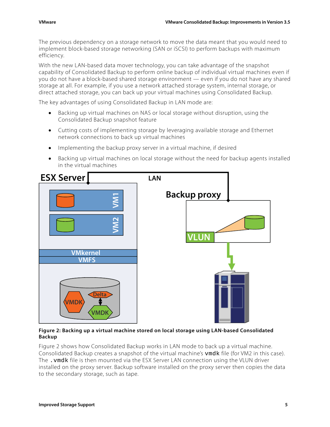The previous dependency on a storage network to move the data meant that you would need to implement block-based storage networking (SAN or iSCSI) to perform backups with maximum efficiency.

With the new LAN-based data mover technology, you can take advantage of the snapshot capability of Consolidated Backup to perform online backup of individual virtual machines even if you do not have a block-based shared storage environment — even if you do not have any shared storage at all. For example, if you use a network attached storage system, internal storage, or direct attached storage, you can back up your virtual machines using Consolidated Backup.

The key advantages of using Consolidated Backup in LAN mode are:

- Backing up virtual machines on NAS or local storage without disruption, using the Consolidated Backup snapshot feature
- Cutting costs of implementing storage by leveraging available storage and Ethernet network connections to back up virtual machines
- Implementing the backup proxy server in a virtual machine, if desired
- Backing up virtual machines on local storage without the need for backup agents installed in the virtual machines



#### **Figure 2: Backing up a virtual machine stored on local storage using LAN-based Consolidated Backup**

Figure 2 shows how Consolidated Backup works in LAN mode to back up a virtual machine. Consolidated Backup creates a snapshot of the virtual machine's vmdk file (for VM2 in this case). The .vmdk file is then mounted via the ESX Server LAN connection using the VLUN driver installed on the proxy server. Backup software installed on the proxy server then copies the data to the secondary storage, such as tape.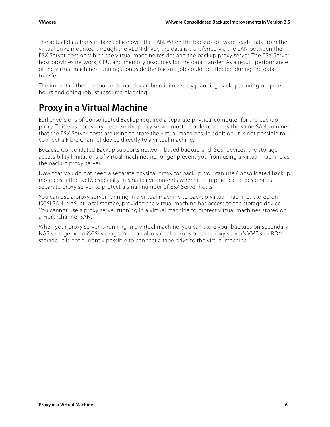<span id="page-7-0"></span>The actual data transfer takes place over the LAN. When the backup software reads data from the virtual drive mounted through the VLUN driver, the data is transferred via the LAN between the ESX Server host on which the virtual machine resides and the backup proxy server. The ESX Server host provides network, CPU, and memory resources for the data transfer. As a result, performance of the virtual machines running alongside the backup job could be affected during the data transfer.

The impact of these resource demands can be minimized by planning backups during off-peak hours and doing robust resource planning.

# **Proxy in a Virtual Machine**

Earlier versions of Consolidated Backup required a separate physical computer for the backup proxy. This was necessary because the proxy server must be able to access the same SAN volumes that the ESX Server hosts are using to store the virtual machines. In addition, it is not possible to connect a Fibre Channel device directly to a virtual machine.

Because Consolidated Backup supports network-based backup and iSCSI devices, the storage accessibility limitations of virtual machines no longer prevent you from using a virtual machine as the backup proxy server.

Now that you do not need a separate physical proxy for backup, you can use Consolidated Backup more cost effectively, especially in small environments where it is impractical to designate a separate proxy server to protect a small number of ESX Server hosts.

You can use a proxy server running in a virtual machine to backup virtual machines stored on iSCSI SAN, NAS, or local storage, provided the virtual machine has access to the storage device. You cannot use a proxy server running in a virtual machine to protect virtual machines stored on a Fibre Channel SAN.

When your proxy server is running in a virtual machine, you can store your backups on secondary NAS storage or on iSCSI storage. You can also store backups on the proxy server's VMDK or RDM storage. It is not currently possible to connect a tape drive to the virtual machine.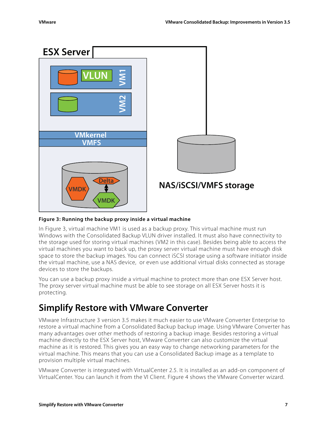<span id="page-8-0"></span>

**Figure 3: Running the backup proxy inside a virtual machine** 

In Figure 3, virtual machine VM1 is used as a backup proxy. This virtual machine must run Windows with the Consolidated Backup VLUN driver installed. It must also have connectivity to the storage used for storing virtual machines (VM2 in this case). Besides being able to access the virtual machines you want to back up, the proxy server virtual machine must have enough disk space to store the backup images. You can connect iSCSI storage using a software initiator inside the virtual machine, use a NAS device, or even use additional virtual disks connected as storage devices to store the backups.

You can use a backup proxy inside a virtual machine to protect more than one ESX Server host. The proxy server virtual machine must be able to see storage on all ESX Server hosts it is protecting.

# **Simplify Restore with VMware Converter**

VMware Infrastructure 3 version 3.5 makes it much easier to use VMware Converter Enterprise to restore a virtual machine from a Consolidated Backup backup image. Using VMware Converter has many advantages over other methods of restoring a backup image. Besides restoring a virtual machine directly to the ESX Server host, VMware Converter can also customize the virtual machine as it is restored. This gives you an easy way to change networking parameters for the virtual machine. This means that you can use a Consolidated Backup image as a template to provision multiple virtual machines.

VMware Converter is integrated with VirtualCenter 2.5. It is installed as an add-on component of VirtualCenter. You can launch it from the VI Client. Figure 4 shows the VMware Converter wizard.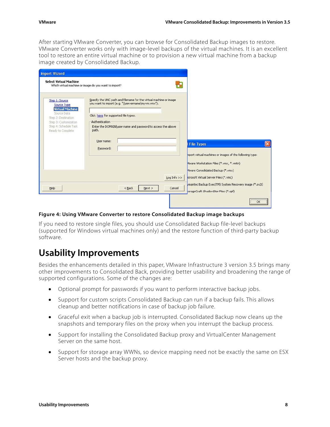<span id="page-9-0"></span>After starting VMware Converter, you can browse for Consolidated Backup images to restore. VMware Converter works only with image-level backups of the virtual machines. It is an excellent tool to restore an entire virtual machine or to provision a new virtual machine from a backup image created by Consolidated Backup.

| <b>Select Virtual Machine</b>                                                              | Which virtual machine or image do you want to import?                                                                                                            |                                                                                                                                     |
|--------------------------------------------------------------------------------------------|------------------------------------------------------------------------------------------------------------------------------------------------------------------|-------------------------------------------------------------------------------------------------------------------------------------|
| Step 1: Source<br>Source Type<br><b>Virtual Machine</b><br>Source Data                     | Specify the UNC path and filename for the virtual machine or image<br>you want to import (e.g. "liservernameimyvm.vmx").<br>Click here for supported file types. |                                                                                                                                     |
| Step 2: Destination<br>Step 3: Customization<br>Step 4: Schedule Task<br>Ready to Complete | Authentication<br>Enter the DOMAIN user name and password to access the above<br>path.<br>User name:                                                             |                                                                                                                                     |
|                                                                                            | Password:                                                                                                                                                        | <b>I File Types</b><br>mport virtual machines or images of the following type:<br>Mware Workstation Files (*.vmx, *.vmtn)           |
| Help                                                                                       | Log Info $>>$<br><back<br>Next<br/>Cancel</back<br>                                                                                                              | Mware Consolidated Backup (*.vmx)<br>icrosoft Virtual Server Files (*.vmc)<br>mantec Backup Exec(TM) System Recovery image (*.sv2i) |

#### **Figure 4: Using VMware Converter to restore Consolidated Backup image backups**

If you need to restore single files, you should use Consolidated Backup file-level backups (supported for Windows virtual machines only) and the restore function of third-party backup software.

## **Usability Improvements**

Besides the enhancements detailed in this paper, VMware Infrastructure 3 version 3.5 brings many other improvements to Consolidated Back, providing better usability and broadening the range of supported configurations. Some of the changes are:

- Optional prompt for passwords if you want to perform interactive backup jobs.
- Support for custom scripts Consolidated Backup can run if a backup fails. This allows cleanup and better notifications in case of backup job failure.
- Graceful exit when a backup job is interrupted. Consolidated Backup now cleans up the snapshots and temporary files on the proxy when you interrupt the backup process.
- Support for installing the Consolidated Backup proxy and VirtualCenter Management Server on the same host.
- Support for storage array WWNs, so device mapping need not be exactly the same on ESX Server hosts and the backup proxy.